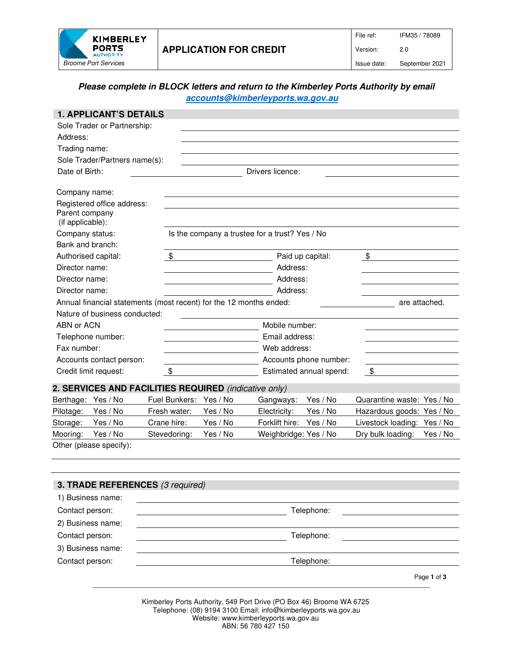

# **Please complete in BLOCK letters and return to the Kimberley Ports Authority by email accounts@kimberleyports.wa.gov.au**

|                                                                                     | <b>1. APPLICANT'S DETAILS</b>                         |                        |                                                                                                         |                       |                         |                             |             |
|-------------------------------------------------------------------------------------|-------------------------------------------------------|------------------------|---------------------------------------------------------------------------------------------------------|-----------------------|-------------------------|-----------------------------|-------------|
|                                                                                     | Sole Trader or Partnership:                           |                        |                                                                                                         |                       |                         |                             |             |
| Address:                                                                            |                                                       |                        |                                                                                                         |                       |                         |                             |             |
| Trading name:                                                                       |                                                       |                        |                                                                                                         |                       |                         |                             |             |
|                                                                                     | Sole Trader/Partners name(s):                         |                        |                                                                                                         |                       |                         |                             |             |
| Date of Birth:<br>Drivers licence:                                                  |                                                       |                        |                                                                                                         |                       |                         |                             |             |
| Company name:                                                                       |                                                       |                        |                                                                                                         |                       |                         |                             |             |
| Parent company<br>(if applicable):                                                  | Registered office address:                            |                        |                                                                                                         |                       |                         |                             |             |
| Company status:                                                                     |                                                       |                        | Is the company a trustee for a trust? Yes / No                                                          |                       |                         |                             |             |
| Bank and branch:                                                                    |                                                       |                        |                                                                                                         |                       |                         |                             |             |
| Authorised capital:                                                                 |                                                       | \$                     |                                                                                                         |                       | Paid up capital:        | \$                          |             |
| Director name:                                                                      |                                                       |                        | Address:                                                                                                |                       |                         |                             |             |
| Director name:                                                                      |                                                       |                        |                                                                                                         | Address:              |                         |                             |             |
| Director name:                                                                      |                                                       |                        |                                                                                                         |                       | Address:                |                             |             |
| Annual financial statements (most recent) for the 12 months ended:<br>are attached. |                                                       |                        |                                                                                                         |                       |                         |                             |             |
|                                                                                     | Nature of business conducted:                         |                        |                                                                                                         |                       |                         |                             |             |
| ABN or ACN                                                                          |                                                       |                        |                                                                                                         | Mobile number:        |                         |                             |             |
|                                                                                     | Telephone number:                                     |                        | Email address:                                                                                          |                       |                         |                             |             |
| Fax number:                                                                         |                                                       |                        | Web address:                                                                                            |                       |                         |                             |             |
|                                                                                     | Accounts contact person:                              |                        | Accounts phone number:                                                                                  |                       |                         |                             |             |
|                                                                                     | Credit limit request:                                 | \$                     |                                                                                                         |                       | Estimated annual spend: | \$                          |             |
|                                                                                     | 2. SERVICES AND FACILITIES REQUIRED (indicative only) |                        |                                                                                                         |                       |                         |                             |             |
| Berthage: Yes / No                                                                  |                                                       | Fuel Bunkers: Yes / No |                                                                                                         | Gangways:             | Yes / No                | Quarantine waste: Yes / No  |             |
| Pilotage:                                                                           | Yes / No                                              | Fresh water:           | Yes / No                                                                                                | Electricity:          | Yes / No                | Hazardous goods: Yes / No   |             |
| Storage:                                                                            | Yes / No                                              | Crane hire:            | Yes / No                                                                                                | Forklift hire:        | Yes / No                | Livestock loading: Yes / No |             |
| Mooring:                                                                            | Yes / No                                              | Stevedoring:           | Yes / No                                                                                                | Weighbridge: Yes / No |                         | Dry bulk loading:           | Yes / No    |
|                                                                                     | Other (please specify):                               |                        |                                                                                                         |                       |                         |                             |             |
|                                                                                     |                                                       |                        |                                                                                                         |                       |                         |                             |             |
|                                                                                     |                                                       |                        |                                                                                                         |                       |                         |                             |             |
|                                                                                     | 3. TRADE REFERENCES (3 required)                      |                        |                                                                                                         |                       |                         |                             |             |
|                                                                                     | 1) Business name:                                     |                        |                                                                                                         |                       |                         |                             |             |
| Contact person:                                                                     |                                                       |                        | Telephone:                                                                                              |                       |                         |                             |             |
| 2) Business name:                                                                   |                                                       |                        |                                                                                                         |                       |                         |                             |             |
| Contact person:                                                                     |                                                       |                        |                                                                                                         |                       | Telephone:              |                             |             |
| 3) Business name:                                                                   |                                                       |                        |                                                                                                         |                       |                         |                             |             |
| Contact person:                                                                     |                                                       |                        |                                                                                                         |                       | Telephone:              |                             |             |
|                                                                                     |                                                       |                        |                                                                                                         |                       |                         |                             | Page 1 of 3 |
|                                                                                     |                                                       |                        | Kimberley Ports Authority, 549 Port Drive (PO Box 46) Broome WA 6725                                    |                       |                         |                             |             |
|                                                                                     |                                                       |                        | Telephone: (08) 9194 3100 Email: info@kimberleyports.wa.gov.au<br>Website: www.kimberleyports.wa.gov.au |                       |                         |                             |             |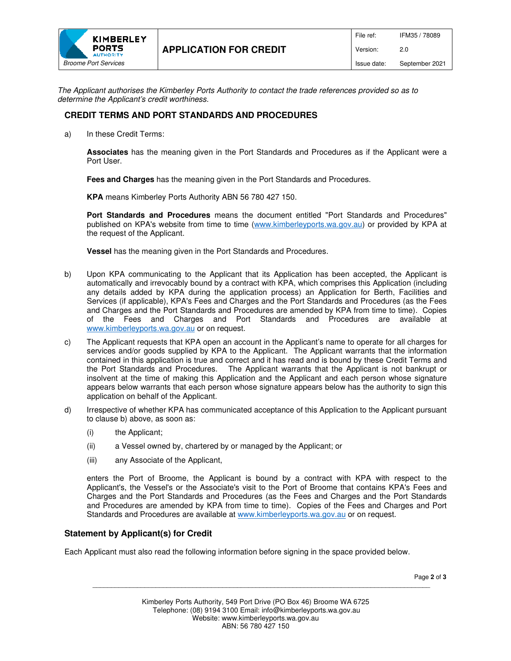

The Applicant authorises the Kimberley Ports Authority to contact the trade references provided so as to determine the Applicant's credit worthiness.

# **CREDIT TERMS AND PORT STANDARDS AND PROCEDURES**

a) In these Credit Terms:

**Associates** has the meaning given in the Port Standards and Procedures as if the Applicant were a Port User.

**Fees and Charges** has the meaning given in the Port Standards and Procedures.

**KPA** means Kimberley Ports Authority ABN 56 780 427 150.

**Port Standards and Procedures** means the document entitled "Port Standards and Procedures" published on KPA's website from time to time (www.kimberleyports.wa.gov.au) or provided by KPA at the request of the Applicant.

**Vessel** has the meaning given in the Port Standards and Procedures.

- b) Upon KPA communicating to the Applicant that its Application has been accepted, the Applicant is automatically and irrevocably bound by a contract with KPA, which comprises this Application (including any details added by KPA during the application process) an Application for Berth, Facilities and Services (if applicable), KPA's Fees and Charges and the Port Standards and Procedures (as the Fees and Charges and the Port Standards and Procedures are amended by KPA from time to time). Copies of the Fees and Charges and Port Standards and Procedures are available at www.kimberleyports.wa.gov.au or on request.
- c) The Applicant requests that KPA open an account in the Applicant's name to operate for all charges for services and/or goods supplied by KPA to the Applicant. The Applicant warrants that the information contained in this application is true and correct and it has read and is bound by these Credit Terms and the Port Standards and Procedures. The Applicant warrants that the Applicant is not bankrupt or insolvent at the time of making this Application and the Applicant and each person whose signature appears below warrants that each person whose signature appears below has the authority to sign this application on behalf of the Applicant.
- d) Irrespective of whether KPA has communicated acceptance of this Application to the Applicant pursuant to clause b) above, as soon as:
	- (i) the Applicant;
	- (ii) a Vessel owned by, chartered by or managed by the Applicant; or
	- (iii) any Associate of the Applicant,

enters the Port of Broome, the Applicant is bound by a contract with KPA with respect to the Applicant's, the Vessel's or the Associate's visit to the Port of Broome that contains KPA's Fees and Charges and the Port Standards and Procedures (as the Fees and Charges and the Port Standards and Procedures are amended by KPA from time to time). Copies of the Fees and Charges and Port Standards and Procedures are available at www.kimberleyports.wa.gov.au or on request.

## **Statement by Applicant(s) for Credit**

Each Applicant must also read the following information before signing in the space provided below.

Page **2** of **3**

\_\_\_\_\_\_\_\_\_\_\_\_\_\_\_\_\_\_\_\_\_\_\_\_\_\_\_\_\_\_\_\_\_\_\_\_\_\_\_\_\_\_\_\_\_\_\_\_\_\_\_\_\_\_\_\_\_\_\_\_\_\_\_\_\_\_\_\_\_\_\_\_\_\_\_\_\_\_\_\_\_\_\_\_\_\_\_\_\_\_\_